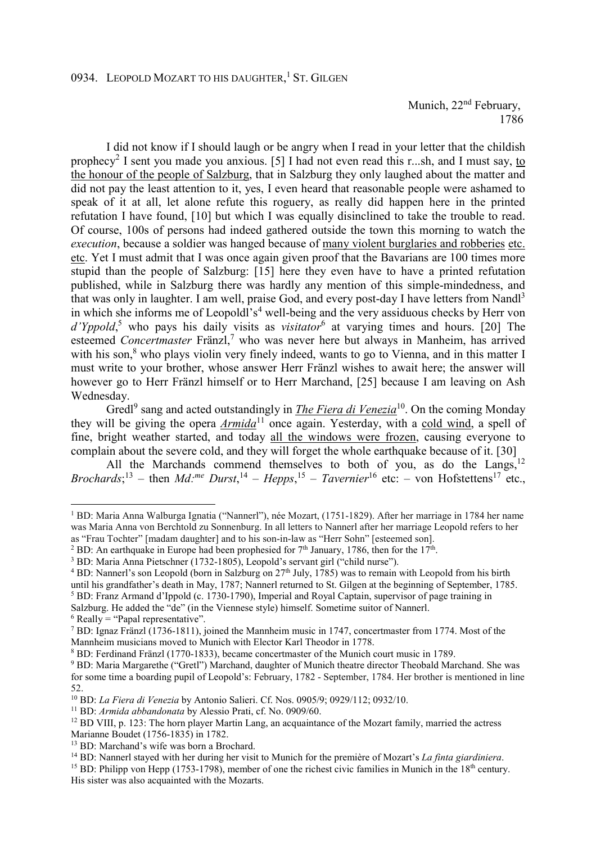Munich, 22<sup>nd</sup> February, 1786

I did not know if I should laugh or be angry when I read in your letter that the childish prophecy<sup>2</sup> I sent you made you anxious. [5] I had not even read this r...sh, and I must say, to the honour of the people of Salzburg, that in Salzburg they only laughed about the matter and did not pay the least attention to it, yes, I even heard that reasonable people were ashamed to speak of it at all, let alone refute this roguery, as really did happen here in the printed refutation I have found, [10] but which I was equally disinclined to take the trouble to read. Of course, 100s of persons had indeed gathered outside the town this morning to watch the *execution*, because a soldier was hanged because of many violent burglaries and robberies etc. etc. Yet I must admit that I was once again given proof that the Bavarians are 100 times more stupid than the people of Salzburg: [15] here they even have to have a printed refutation published, while in Salzburg there was hardly any mention of this simple-mindedness, and that was only in laughter. I am well, praise God, and every post-day I have letters from Nandl<sup>3</sup> in which she informs me of Leopoldl's<sup>4</sup> well-being and the very assiduous checks by Herr von d'Yppold,<sup>5</sup> who pays his daily visits as *visitator*<sup>6</sup> at varying times and hours. [20] The esteemed *Concertmaster* Fränzl,<sup>7</sup> who was never here but always in Manheim, has arrived with his son,<sup>8</sup> who plays violin very finely indeed, wants to go to Vienna, and in this matter I must write to your brother, whose answer Herr Fränzl wishes to await here; the answer will however go to Herr Fränzl himself or to Herr Marchand, [25] because I am leaving on Ash Wednesday.

Gredl<sup>9</sup> sang and acted outstandingly in *The Fiera di Venezia*<sup>10</sup>. On the coming Monday they will be giving the opera *Armida*<sup>11</sup> once again. Yesterday, with a cold wind, a spell of fine, bright weather started, and today all the windows were frozen, causing everyone to complain about the severe cold, and they will forget the whole earthquake because of it. [30]

All the Marchands commend themselves to both of you, as do the Langs,<sup>12</sup> *Brochards*;<sup>13</sup> – then *Md*:<sup>*me*</sup> *Durst*,<sup>14</sup> – *Hepps*,<sup>15</sup> – *Tavernier*<sup>16</sup> etc: – von Hofstettens<sup>17</sup> etc.,

<sup>4</sup> BD: Nannerl's son Leopold (born in Salzburg on 27<sup>th</sup> July, 1785) was to remain with Leopold from his birth until his grandfather's death in May, 1787; Nannerl returned to St. Gilgen at the beginning of September, 1785. <sup>5</sup> BD: Franz Armand d'Ippold (c. 1730-1790), Imperial and Royal Captain, supervisor of page training in

 $6$  Really = "Papal representative".

 $\overline{a}$ 

<sup>&</sup>lt;sup>1</sup> BD: Maria Anna Walburga Ignatia ("Nannerl"), née Mozart, (1751-1829). After her marriage in 1784 her name was Maria Anna von Berchtold zu Sonnenburg. In all letters to Nannerl after her marriage Leopold refers to her as "Frau Tochter" [madam daughter] and to his son-in-law as "Herr Sohn" [esteemed son].

<sup>&</sup>lt;sup>2</sup> BD: An earthquake in Europe had been prophesied for  $7<sup>th</sup>$  January, 1786, then for the 17<sup>th</sup>.

<sup>&</sup>lt;sup>3</sup> BD: Maria Anna Pietschner (1732-1805), Leopold's servant girl ("child nurse").

Salzburg. He added the "de" (in the Viennese style) himself. Sometime suitor of Nannerl.

<sup>7</sup> BD: Ignaz Fränzl (1736-1811), joined the Mannheim music in 1747, concertmaster from 1774. Most of the Mannheim musicians moved to Munich with Elector Karl Theodor in 1778.

<sup>8</sup> BD: Ferdinand Fränzl (1770-1833), became concertmaster of the Munich court music in 1789.

<sup>&</sup>lt;sup>9</sup> BD: Maria Margarethe ("Gretl") Marchand, daughter of Munich theatre director Theobald Marchand. She was for some time a boarding pupil of Leopold's: February, 1782 - September, 1784. Her brother is mentioned in line 52.

<sup>10</sup> BD: *La Fiera di Venezia* by Antonio Salieri. Cf. Nos. 0905/9; 0929/112; 0932/10.

<sup>11</sup> BD: *Armida abbandonata* by Alessio Prati, cf. No. 0909/60.

 $12$  BD VIII, p. 123: The horn player Martin Lang, an acquaintance of the Mozart family, married the actress Marianne Boudet (1756-1835) in 1782.

<sup>&</sup>lt;sup>13</sup> BD: Marchand's wife was born a Brochard.

<sup>14</sup> BD: Nannerl stayed with her during her visit to Munich for the première of Mozart's *La finta giardiniera*.

<sup>&</sup>lt;sup>15</sup> BD: Philipp von Hepp (1753-1798), member of one the richest civic families in Munich in the 18<sup>th</sup> century. His sister was also acquainted with the Mozarts.